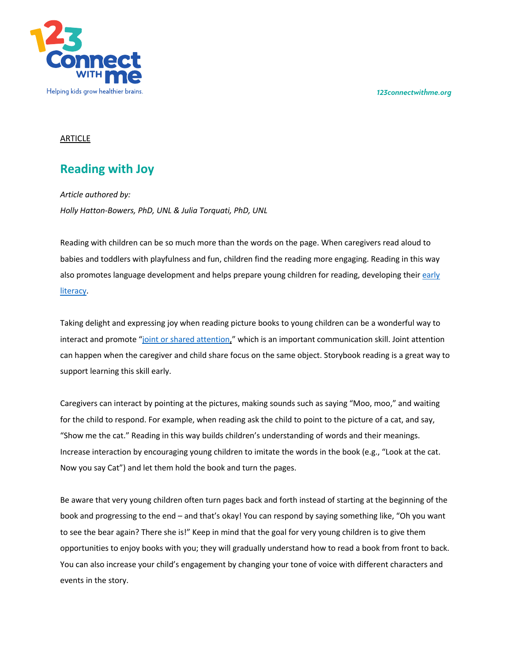*123connectwithme.org*



## ARTICLE

# **Reading with Joy**

*Article authored by: Holly Hatton-Bowers, PhD, UNL & Julia Torquati, PhD, UNL*

Reading with children can be so much more than the words on the page. When caregivers read aloud to babies and toddlers with playfulness and fun, children find the reading more engaging. Reading in this way also promotes language development and helps prepare young children for reading, developing their early literacy.

Taking delight and expressing joy when reading picture books to young children can be a wonderful way to interact and promote "joint or shared attention," which is an important communication skill. Joint attention can happen when the caregiver and child share focus on the same object. Storybook reading is a great way to support learning this skill early.

Caregivers can interact by pointing at the pictures, making sounds such as saying "Moo, moo," and waiting for the child to respond. For example, when reading ask the child to point to the picture of a cat, and say, "Show me the cat." Reading in this way builds children's understanding of words and their meanings. Increase interaction by encouraging young children to imitate the words in the book (e.g., "Look at the cat. Now you say Cat") and let them hold the book and turn the pages.

Be aware that very young children often turn pages back and forth instead of starting at the beginning of the book and progressing to the end – and that's okay! You can respond by saying something like, "Oh you want to see the bear again? There she is!" Keep in mind that the goal for very young children is to give them opportunities to enjoy books with you; they will gradually understand how to read a book from front to back. You can also increase your child's engagement by changing your tone of voice with different characters and events in the story.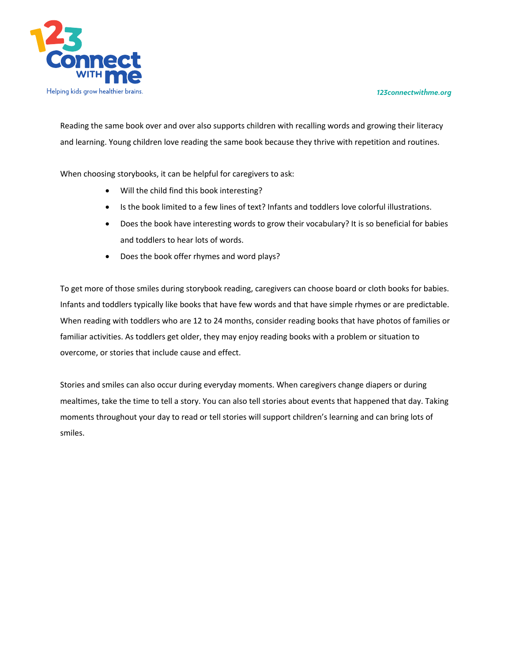#### *123connectwithme.org*



Reading the same book over and over also supports children with recalling words and growing their literacy and learning. Young children love reading the same book because they thrive with repetition and routines.

When choosing storybooks, it can be helpful for caregivers to ask:

- Will the child find this book interesting?
- Is the book limited to a few lines of text? Infants and toddlers love colorful illustrations.
- Does the book have interesting words to grow their vocabulary? It is so beneficial for babies and toddlers to hear lots of words.
- Does the book offer rhymes and word plays?

To get more of those smiles during storybook reading, caregivers can choose board or cloth books for babies. Infants and toddlers typically like books that have few words and that have simple rhymes or are predictable. When reading with toddlers who are 12 to 24 months, consider reading books that have photos of families or familiar activities. As toddlers get older, they may enjoy reading books with a problem or situation to overcome, or stories that include cause and effect.

Stories and smiles can also occur during everyday moments. When caregivers change diapers or during mealtimes, take the time to tell a story. You can also tell stories about events that happened that day. Taking moments throughout your day to read or tell stories will support children's learning and can bring lots of smiles.